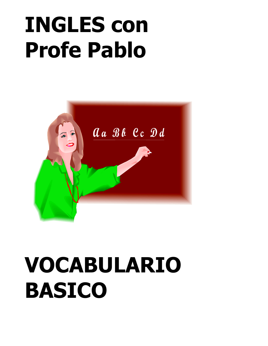# **INGLES con Profe Pablo**



## **VOCABULARIO BASICO**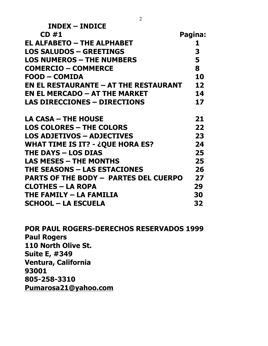| <b>INDEX - INDICE</b>                           |         |
|-------------------------------------------------|---------|
| CD#1                                            | Pagina: |
| <b>EL ALFABETO – THE ALPHABET</b>               | 1       |
| <b>LOS SALUDOS - GREETINGS</b>                  | 3       |
| <b>LOS NUMEROS - THE NUMBERS</b>                | 5       |
| <b>COMERCIO - COMMERCE</b>                      | 8       |
| <b>FOOD - COMIDA</b>                            | 10      |
| <b>EN EL RESTAURANTE – AT THE RESTAURANT</b>    | 12      |
| <b>EN EL MERCADO – AT THE MARKET</b>            | 14      |
| <b>LAS DIRECCIONES - DIRECTIONS</b>             | 17      |
| <b>LA CASA – THE HOUSE</b>                      | 21      |
| <b>LOS COLORES - THE COLORS</b>                 | 22      |
| <b>LOS ADJETIVOS - ADJECTIVES</b>               | 23      |
| <b>WHAT TIME IS IT? - ¿QUE HORA ES?</b>         | 24      |
| <b>THE DAYS - LOS DIAS</b>                      | 25      |
| <b>LAS MESES - THE MONTHS</b>                   | 25      |
| <b>THE SEASONS - LAS ESTACIONES</b>             | 26      |
| <b>PARTS OF THE BODY - PARTES DEL CUERPO</b>    | 27      |
| <b>CLOTHES - LA ROPA</b>                        | 29      |
| THE FAMILY - LA FAMILIA                         | 30      |
| <b>SCHOOL – LA ESCUELA</b>                      | 32      |
| <b>POR PAUL ROGERS-DERECHOS RESERVADOS 1999</b> |         |
| <b>Paul Rogers</b>                              |         |
| 110 North Olive St.                             |         |
| <b>Suite E, #349</b>                            |         |
| Ventura, California<br>93001                    |         |
| 805-258-3310                                    |         |
| B                                               |         |

**Pumarosa21@yahoo.com**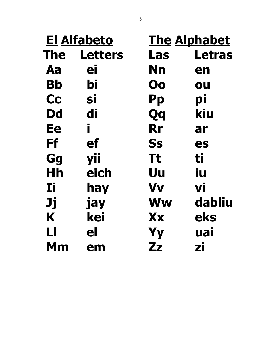|            | <b>El Alfabeto</b> |              | <b>The Alphabet</b> |
|------------|--------------------|--------------|---------------------|
| <b>The</b> | <b>Letters</b>     | Las          | <b>Letras</b>       |
| Aa         | ei                 | Nn           | en                  |
| Bb         | bi                 | Oo           | ou                  |
| <b>Cc</b>  | SĪ                 | <b>Pp</b>    | pi                  |
| <b>Dd</b>  | di                 | Qq           | kiu                 |
| Ee         | i.                 | <b>Rr</b>    | ar                  |
| Ff         | ef                 | <b>Ss</b>    | es                  |
| Gg         | yii                | <b>Tt</b>    | ti                  |
| Hh         | eich               | Uu           | iu                  |
| Ιi         | hay                | <b>Vv</b>    | Vİ                  |
| Jj         | jay                | <b>Ww</b>    | dabliu              |
| K          | kei                | Xx           | eks                 |
| LI         | el                 | <b>Yy</b>    | uai                 |
| Мm         | em                 | $\mathbf{Z}$ | zi                  |
|            |                    |              |                     |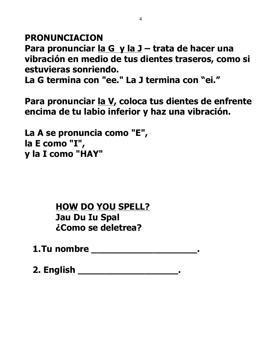**PRONUNCIACION**

**Para pronunciar la G y la J – trata de hacer una vibración en medio de tus dientes traseros, como si estuvieras sonriendo.** 

**La G termina con "ee." La J termina con "ei."**

**Para pronunciar la V, coloca tus dientes de enfrente encima de tu labio inferior y haz una vibración.**

**La A se pronuncia como "E", la E como "I", y la I como "HAY"** 

> **HOW DO YOU SPELL? Jau Du Iu Spal ¿Como se deletrea?**

**1.Tu nombre \_\_\_\_\_\_\_\_\_\_\_\_\_\_\_\_\_\_\_.**

**2. English \_\_\_\_\_\_\_\_\_\_\_\_\_\_\_\_\_\_.**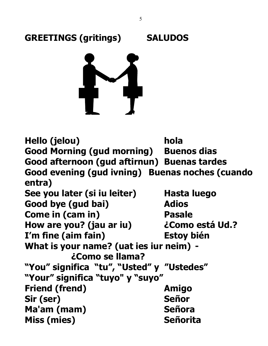

**GREETINGS (gritings) SALUDOS**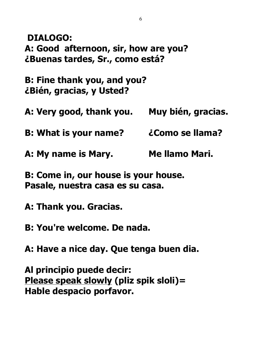**DIALOGO: A: Good afternoon, sir, how are you? ¿Buenas tardes, Sr., como está?**

**B: Fine thank you, and you? ¿Bién, gracias, y Usted?**

**A: Very good, thank you. Muy bién, gracias.**

**B: What is your name? ¿Como se llama?**

**A: My name is Mary. Me llamo Mari.**

**B: Come in, our house is your house. Pasale, nuestra casa es su casa.**

**A: Thank you. Gracias.**

**B: You're welcome. De nada.**

**A: Have a nice day. Que tenga buen dia.**

**Al principio puede decir: Please speak slowly (pliz spik sloli)= Hable despacio porfavor.**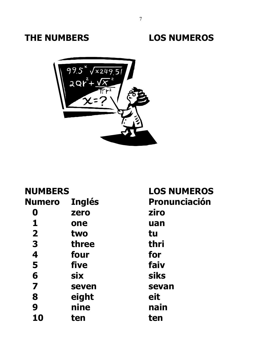



| <b>NUMBERS</b>          |               | <b>LOS NUMEROS</b> |
|-------------------------|---------------|--------------------|
| <b>Numero</b>           | <b>Inglés</b> | Pronunciación      |
| O                       | zero          | ziro               |
| 1                       | one           | uan                |
| $\overline{\mathbf{2}}$ | two           | tu                 |
| 3                       | three         | thri               |
| 4                       | four          | for                |
| 5                       | five          | faiv               |
| 6                       | <b>six</b>    | <b>siks</b>        |
| 7                       | seven         | sevan              |
| 8                       | eight         | eit                |
| 9                       | nine          | nain               |
| 10                      | ten           | ten                |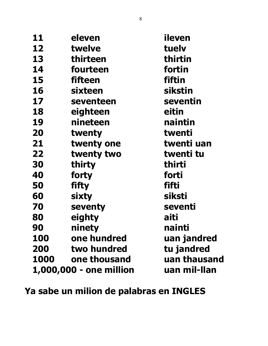| 11   | eleven                  | ileven       |
|------|-------------------------|--------------|
| 12   | twelve                  | tuely        |
| 13   | thirteen                | thirtin      |
| 14   | fourteen                | fortin       |
| 15   | fifteen                 | fiftin       |
| 16   | sixteen                 | sikstin      |
| 17   | seventeen               | seventin     |
| 18   | eighteen                | eitin        |
| 19   | nineteen                | naintin      |
| 20   | twenty                  | twenti       |
| 21   | twenty one              | twenti uan   |
| 22   | twenty two              | twenti tu    |
| 30   | thirty                  | thirti       |
| 40   | forty                   | forti        |
| 50   | <b>fifty</b>            | fifti        |
| 60   | sixty                   | siksti       |
| 70   | seventy                 | seventi      |
| 80   | eighty                  | aiti         |
| 90   | ninety                  | nainti       |
| 100  | one hundred             | uan jandred  |
| 200  | two hundred             | tu jandred   |
| 1000 | one thousand            | uan thausand |
|      | 1,000,000 - one million | uan mil-Ilan |

**Ya sabe un milion de palabras en INGLES**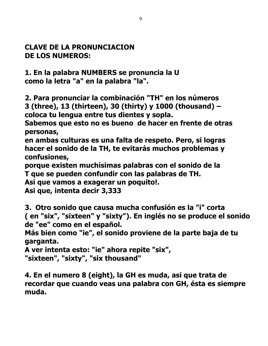#### **CLAVE DE LA PRONUNCIACION DE LOS NUMEROS:**

**1. En la palabra NUMBERS se pronuncia la U como la letra "a" en la palabra "la".**

**2. Para pronunciar la combinación "TH" en los números 3 (three), 13 (thirteen), 30 (thirty) y 1000 (thousand) – coloca tu lengua entre tus dientes y sopla.** 

**Sabemos que esto no es bueno de hacer en frente de otras personas,** 

**en ambas culturas es una falta de respeto. Pero, si logras hacer el sonido de la TH, te evitarás muchos problemas y confusiones,** 

**porque existen muchísimas palabras con el sonido de la T que se pueden confundir con las palabras de TH.** 

**Asi que vamos a exagerar un poquito!.**

**Asi que, intenta decir 3,333**

**3. Otro sonido que causa mucha confusión es la "i" corta ( en "six", "sixteen" y "sixty"). En inglés no se produce el sonido de "ee" como en el español.** 

**Más bien como "ie", el sonido proviene de la parte baja de tu garganta.**

```
A ver intenta esto: "ie" ahora repite "six",
"sixteen", "sixty", "six thousand"
```
**4. En el numero 8 (eight), la GH es muda, asi que trata de recordar que cuando veas una palabra con GH, ésta es siempre muda.**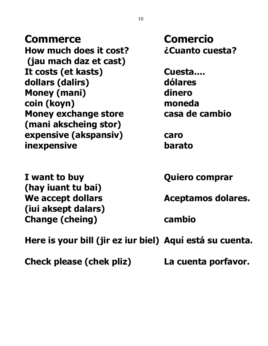**Commerce Comercio How much does it cost? ¿Cuanto cuesta? (jau mach daz et cast) It costs (et kasts) Cuesta.... dollars (dalirs) dólares Money (mani) dinero coin (koyn) moneda Money exchange store exchange in the casa de cambio (mani akscheing stor) expensive (akspansiv) caro inexpensive barato**

**I want to buy Quiero comprar (hay iuant tu bai) (iui aksept dalars) Change (cheing) cambio**

We accept dollars **Aceptamos dolares.** 

**Here is your bill (jir ez iur biel) Aquí está su cuenta.**

**Check please (chek pliz) La cuenta porfavor.**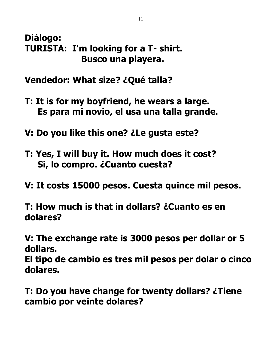### **Diálogo: TURISTA: I'm looking for a T- shirt. Busco una playera.**

**Vendedor: What size? ¿Qué talla?**

- **T: It is for my boyfriend, he wears a large. Es para mi novio, el usa una talla grande.**
- **V: Do you like this one? ¿Le gusta este?**
- **T: Yes, I will buy it. How much does it cost? Si, lo compro. ¿Cuanto cuesta?**
- **V: It costs 15000 pesos. Cuesta quince mil pesos.**

**T: How much is that in dollars? ¿Cuanto es en dolares?**

**V: The exchange rate is 3000 pesos per dollar or 5 dollars.**

**El tipo de cambio es tres mil pesos per dolar o cinco dolares.**

**T: Do you have change for twenty dollars? ¿Tiene cambio por veinte dolares?**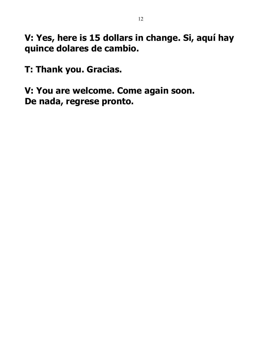**V: Yes, here is 15 dollars in change. Si, aquí hay quince dolares de cambio.**

**T: Thank you. Gracias.**

**V: You are welcome. Come again soon. De nada, regrese pronto.**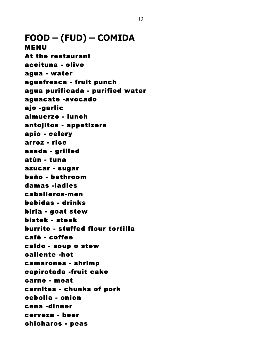**FOOD – (FUD) – COMIDA** MENU At the restaurant aceituna - olive agua - water aguafresca - fruit punch agua purificada - purified water aguacate -avocado ajo -garlic almuerzo - lunch antojitos - appetizers apio - celery arroz - rice asada - grilled atùn - tuna azucar - sugar baño - bathroom damas -ladies caballeros-men bebidas - drinks biria - goat stew bistek - steak burrito - stuffed flour tortilla cafè - coffee caldo - soup o stew caliente -hot camarones - shrimp capirotada -fruit cake carne - meat carnitas - chunks of pork cebolla - onion cena -dinner cerveza - beer chicharos - peas

13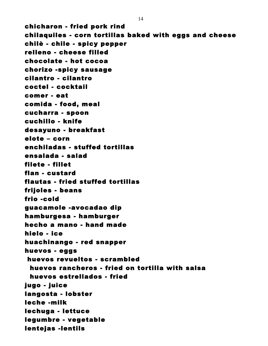chicharon - fried pork rind chilaquiles - corn tortillas baked with eggs and cheese chilè - chile - spicy pepper relleno - cheese filled chocolate - hot cocoa chorizo -spicy sausage cilantro - cilantro coctel - cocktail comer - eat comida - food, meal cucharra - spoon cuchillo - knife desayuno - breakfast elote – corn enchiladas - stuffed tortillas ensalada - salad filete - fillet flan - custard flautas - fried stuffed tortillas frijoles - beans frio -cold guacamole -avocadao dip hamburgesa - hamburger hecho a mano - hand made hielo - ice huachinango - red snapper huevos - eggs huevos revueltos - scrambled huevos rancheros - fried on tortilla with salsa huevos estrellados - fried jugo - juice langosta - lobster leche -milk lechuga - lettuce legumbre - vegetable lentejas -lentils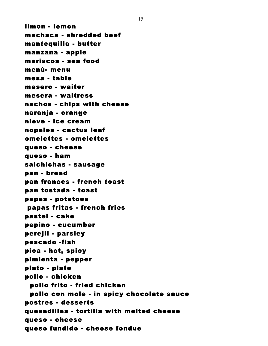limon - lemon machaca - shredded beef mantequilla - butter manzana - apple mariscos - sea food menù- menu mesa - table mesero - waiter mesera - waitress nachos - chips with cheese naranja - orange nieve - ice cream nopales - cactus leaf omelettes - omelettes queso - cheese queso - ham salchichas - sausage pan - bread pan frances - french toast pan tostada - toast papas - potatoes papas fritas - french fries pastel - cake pepino - cucumber perejil - parsley pescado -fish pica - hot, spicy pimienta - pepper plato - plate pollo - chicken pollo frito - fried chicken pollo con mole - in spicy chocolate sauce postres - desserts quesadillas - tortilla with melted cheese queso - cheese queso fundido - cheese fondue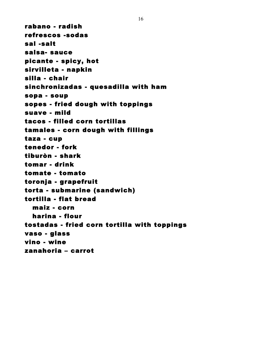rabano - radish refrescos -sodas sal -salt salsa- sauce picante - spicy, hot sirvilleta - napkin silla - chair sinchronizadas - quesadilla with ham sopa - soup sopes - fried dough with toppings suave - mild tacos - filled corn tortillas tamales - corn dough with fillings taza - cup tenedor - fork tiburòn - shark tomar - drink tomate - tomato toronja - grapefruit torta - submarine (sandwich) tortilla - flat bread maiz - corn harina - flour tostadas - fried corn tortilla with toppings vaso - glass vino - wine zanahoria – carrot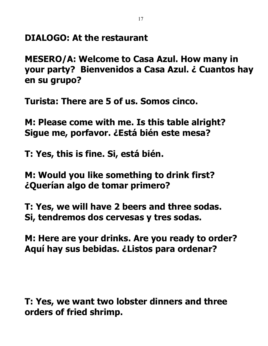**DIALOGO: At the restaurant**

**MESERO/A: Welcome to Casa Azul. How many in your party? Bienvenidos a Casa Azul. ¿ Cuantos hay en su grupo?**

**Turista: There are 5 of us. Somos cinco.**

**M: Please come with me. Is this table alright? Sigue me, porfavor. ¿Está bién este mesa?**

**T: Yes, this is fine. Si, está bién.**

**M: Would you like something to drink first? ¿Querían algo de tomar primero?**

**T: Yes, we will have 2 beers and three sodas. Si, tendremos dos cervesas y tres sodas.**

**M: Here are your drinks. Are you ready to order? Aquí hay sus bebidas. ¿Listos para ordenar?**

**T: Yes, we want two lobster dinners and three orders of fried shrimp.**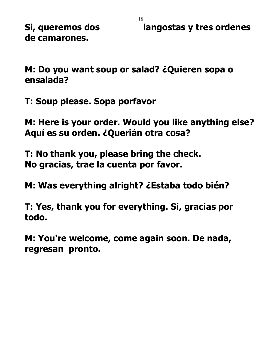**de camarones.**

**Si, queremos dos langostas y tres ordenes** 

**M: Do you want soup or salad? ¿Quieren sopa o ensalada?**

**T: Soup please. Sopa porfavor**

**M: Here is your order. Would you like anything else? Aquí es su orden. ¿Querián otra cosa?**

**T: No thank you, please bring the check. No gracias, trae la cuenta por favor.**

**M: Was everything alright? ¿Estaba todo bién?**

**T: Yes, thank you for everything. Si, gracias por todo.**

**M: You're welcome, come again soon. De nada, regresan pronto.**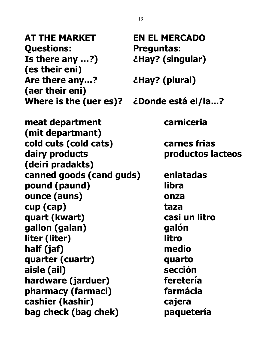**AT THE MARKET EN EL MERCADO Questions: Preguntas: Is there any …?) ¿Hay? (singular) (es their eni) Are there any...? ¿Hay? (plural) (aer their eni) Where is the (uer es)? ¿Donde está el/la...? meat department carniceria (mit departmant) cold cuts (cold cats) carnes frias (deiri pradakts) canned goods (cand guds) enlatadas pound (paund) libra ounce (auns) onza cup (cap) taza quart (kwart) casi un litro gallon (galan) galón liter (liter) litro half (jaf) medio quarter (cuartr) quarto aisle (ail) sección hardware (jarduer) feretería pharmacy (farmaci) farmácia cashier (kashir) cajera bag check (bag chek) paquetería**

**dairy products productos lacteos**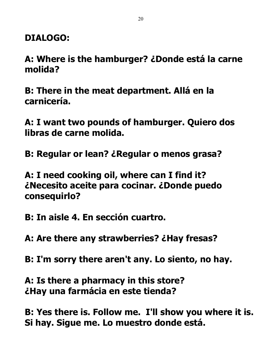**DIALOGO:**

**A: Where is the hamburger? ¿Donde está la carne molida?**

**B: There in the meat department. Allá en la carnicería.**

**A: I want two pounds of hamburger. Quiero dos libras de carne molida.**

**B: Regular or lean? ¿Regular o menos grasa?**

**A: I need cooking oil, where can I find it? ¿Necesito aceite para cocinar. ¿Donde puedo consequirlo?**

**B: In aisle 4. En sección cuartro.**

**A: Are there any strawberries? ¿Hay fresas?**

**B: I'm sorry there aren't any. Lo siento, no hay.**

**A: Is there a pharmacy in this store? ¿Hay una farmácia en este tienda?**

**B: Yes there is. Follow me. I'll show you where it is. Si hay. Sigue me. Lo muestro donde está.**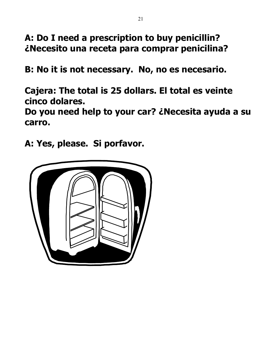**A: Do I need a prescription to buy penicillin? ¿Necesito una receta para comprar penicilina?**

**B: No it is not necessary. No, no es necesario.**

**Cajera: The total is 25 dollars. El total es veinte cinco dolares.**

**Do you need help to your car? ¿Necesita ayuda a su carro.**

**A: Yes, please. Si porfavor.** 

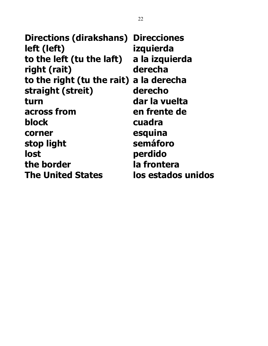**Directions (dirakshans) Direcciones left (left) izquierda to the left (tu the laft) a la izquierda right (rait) derecha to the right (tu the rait) a la derecha straight (streit) derecho turn dar la vuelta across from en frente de block cuadra corner esquina stop light semáforo lost perdido the border la frontera The United States los estados unidos**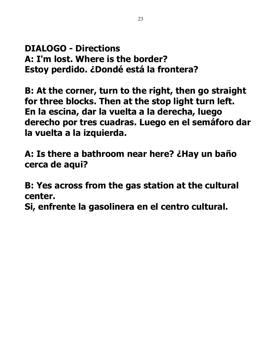**DIALOGO - Directions A: I'm lost. Where is the border? Estoy perdido. ¿Dondé está la frontera?**

**B: At the corner, turn to the right, then go straight for three blocks. Then at the stop light turn left. En la escina, dar la vuelta a la derecha, luego derecho por tres cuadras. Luego en el semáforo dar la vuelta a la izquierda.**

**A: Is there a bathroom near here? ¿Hay un baño cerca de aqui?**

**B: Yes across from the gas station at the cultural center.**

**Si, enfrente la gasolinera en el centro cultural.**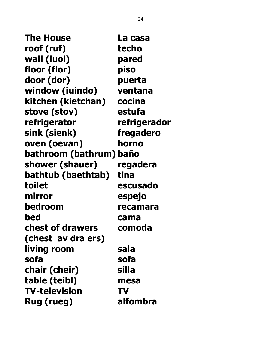**The House La casa roof (ruf) techo wall (iuol) pared floor (flor) piso door (dor) puerta window (iuindo) ventana kitchen (kietchan) cocina stove (stov) estufa refrigerator refrigerador sink (sienk) fregadero oven (oevan) horno bathroom (bathrum) baño shower (shauer) regadera bathtub (baethtab) tina toilet escusado mirror espejo bedroom recamara bed cama chest of drawers comoda (chest av dra ers) living room sala sofa sofa chair (cheir) silla table (teibl) mesa TV-television TV Rug (rueg) alfombra**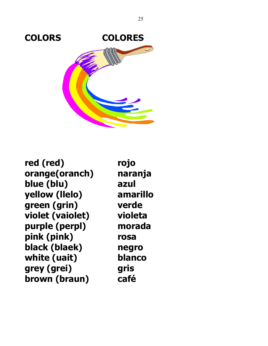

**red (red) rojo orange(oranch) naranja blue (blu) azul yellow (llelo) amarillo green (grin) verde violet (vaiolet) violeta purple (perpl) morada pink (pink) rosa black (blaek) negro white (uait) blanco grey (grei) gris brown (braun) café**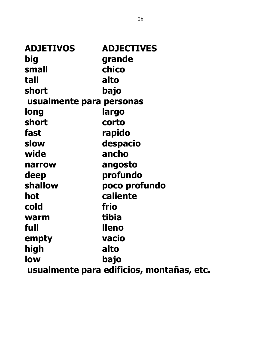| <b>ADJETIVOS</b>         | <b>ADJECTIVES</b>                         |
|--------------------------|-------------------------------------------|
| big                      | grande                                    |
| small                    | chico                                     |
| tall                     | alto                                      |
| short                    | bajo                                      |
| usualmente para personas |                                           |
| long                     | largo                                     |
| short                    | corto                                     |
| fast                     | rapido                                    |
| slow                     | despacio                                  |
| wide                     | ancho                                     |
| narrow                   | angosto                                   |
| deep                     | profundo                                  |
| shallow                  | poco profundo                             |
| hot                      | caliente                                  |
| cold                     | frio                                      |
| warm                     | tibia                                     |
| full                     | <b>lleno</b>                              |
| empty                    | vacio                                     |
| high                     | alto                                      |
| low                      | bajo                                      |
|                          | usualmente para edificios, montañas, etc. |
|                          |                                           |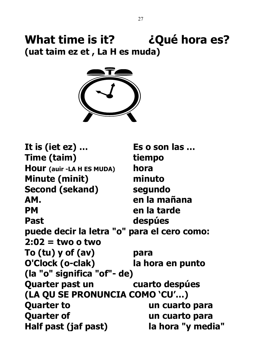## **What time is it? ¿Qué hora es? (uat taim ez et , La H es muda)**



**It is (iet ez) … Es o son las … Time (taim) tiempo Hour (auir -LA H ES MUDA) hora Minute (minit) minuto Second (sekand) segundo AM. en la mañana PM** en la tarde Past despúes **puede decir la letra "o" para el cero como: 2:02 = two o two To (tu) y of (av) para O'Clock (o-clak) la hora en punto (la "o" significa "of"- de) Quarter past un cuarto despúes (LA QU SE PRONUNCIA COMO 'CU'…) Quarter to**  un cuarto para **Quarter of The Contract Contract Contract Contract Contract Contract Contract Contract Contract Contract Contract Contract Contract Contract Contract Contract Contract Contract Contract Contract Contract Contract Contract Half past (jaf past) la hora "y media"**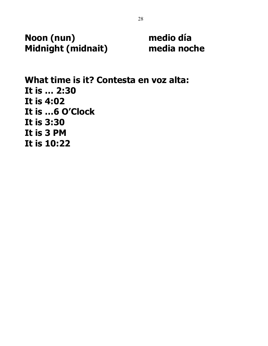**Noon (nun) medio día Midnight (midnait) media noche** 

**What time is it? Contesta en voz alta: It is … 2:30 It is 4:02 It is …6 O'Clock It is 3:30 It is 3 PM It is 10:22**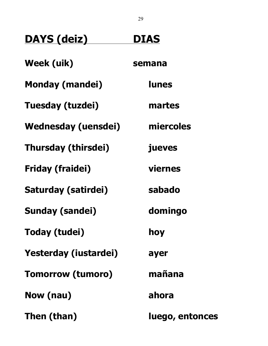| <b>DAYS (deiz)</b>         | <b>DIAS</b>     |
|----------------------------|-----------------|
| <b>Week (uik)</b>          | semana          |
| <b>Monday (mandei)</b>     | <b>lunes</b>    |
| Tuesday (tuzdei)           | martes          |
| <b>Wednesday (uensdei)</b> | miercoles       |
| <b>Thursday (thirsdei)</b> | jueves          |
| <b>Friday (fraidei)</b>    | <b>viernes</b>  |
| Saturday (satirdei)        | sabado          |
| <b>Sunday (sandei)</b>     | domingo         |
| <b>Today (tudei)</b>       | hoy             |
| Yesterday (iustardei)      | ayer            |
| <b>Tomorrow (tumoro)</b>   | mañana          |
| Now (nau)                  | ahora           |
| Then (than)                | luego, entonces |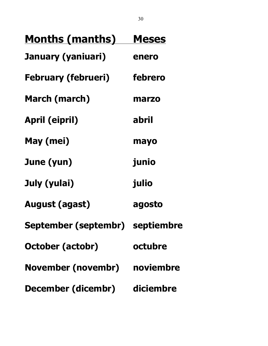| <u>Months (manths)</u>          | <b>Meses</b> |
|---------------------------------|--------------|
| January (yaniuari)              | enero        |
| <b>February (februeri)</b>      | febrero      |
| <b>March (march)</b>            | marzo        |
| <b>April (eipril)</b>           | abril        |
| May (mei)                       | mayo         |
| June (yun)                      | junio        |
| July (yulai)                    | julio        |
| <b>August (agast)</b>           | agosto       |
| September (septembr) septiembre |              |
| <b>October (actobr)</b>         | octubre      |
| November (novembr) noviembre    |              |
| December (dicembr) diciembre    |              |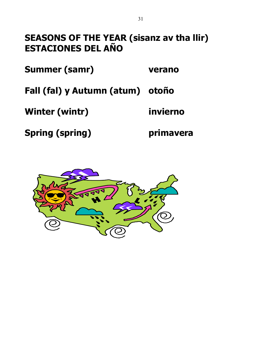### **SEASONS OF THE YEAR (sisanz av tha llir) ESTACIONES DEL AÑO**

**Summer (samr) verano** 

**Fall (fal) y Autumn (atum) otoño** 

**Winter (wintr) invierno** 

**Spring (spring) primavera** 

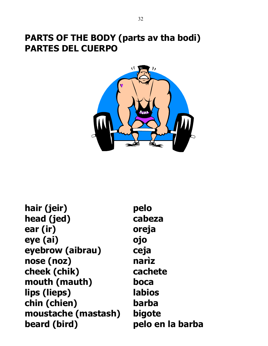#### **PARTS OF THE BODY (parts av tha bodi) PARTES DEL CUERPO**



- **hair (jeir) pelo head (jed) cabeza ear (ir) oreja eye (ai) ojo eyebrow (aibrau) ceja nose (noz) narìz cheek (chik) cachete mouth (mauth) boca lips (lieps) labios chin (chien) barba moustache (mastash) bigote beard (bird) pelo en la barba**
-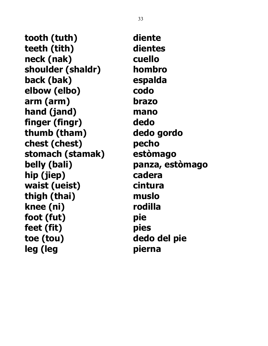**tooth (tuth) diente teeth (tith) dientes neck (nak) cuello shoulder (shaldr) hombro back (bak) espalda elbow (elbo) codo arm (arm) brazo hand (jand) mano finger (fingr) dedo thumb (tham) dedo gordo chest (chest) pecho stomach (stamak) estòmago belly (bali) panza, estòmago hip (jiep) cadera waist (ueist) cintura thigh (thai) muslo knee (ni) rodilla foot (fut) pie feet (fit) pies toe (tou) dedo del pie leg (leg pierna**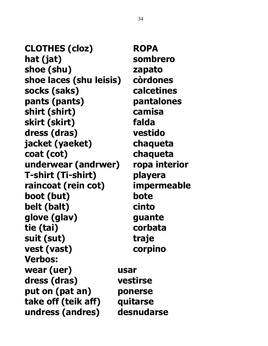**CLOTHES (cloz) ROPA hat (jat) sombrero shoe (shu) zapato shoe laces (shu leisis) còrdones socks (saks) calcetines pants (pants) pantalones shirt (shirt) camisa skirt (skirt) falda dress (dras) vestido jacket (yaeket) chaqueta coat (cot) chaqueta underwear (andrwer) ropa interior T-shirt (Ti-shirt) playera raincoat (rein cot) impermeable boot (but) bote belt (balt) cinto glove (glav) guante tie (tai) corbata suit (sut) traje vest (vast) corpino Verbos: wear (uer) usar dress (dras) vestirse put on (pat an) ponerse take off (teik aff) quitarse undress (andres) desnudarse**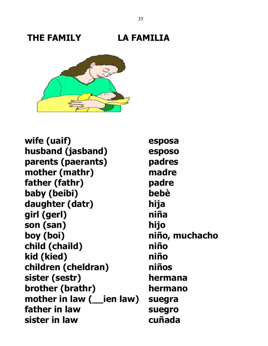## **THE FAMILY LA FAMILIA**



**wife (uaif) esposa husband (jasband) esposo parents (paerants) padres mother (mathr) madre father (fathr) padre baby (beibi) bebè daughter (datr) hija girl (gerl) niña son (san) hijo boy (boi) niño, muchacho child (chaild) niño kid (kied) niño children (cheldran) niños sister (sestr) hermana brother (brathr) hermano mother in law (\_\_ien law) suegra father in law suegro sister in law cuñada**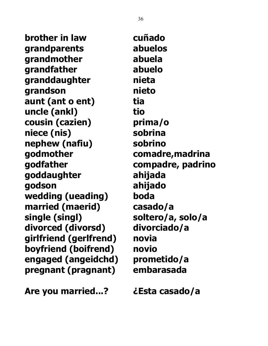**brother in law cuñado grandparents abuelos grandmother abuela grandfather abuelo granddaughter nieta grandson nieto aunt (ant o ent) tia uncle (ankl) tio cousin (cazien) prima/o niece (nis) sobrina nephew (nafiu) sobrino godmother comadre,madrina godfather compadre, padrino goddaughter ahijada godson ahijado wedding (ueading) boda married (maerid) casado/a single (singl) soltero/a, solo/a divorced (divorsd) divorciado/a girlfriend (gerlfrend) novia boyfriend (boifrend) novio engaged (angeidchd) prometido/a pregnant (pragnant) embarasada**

**Are you married...? ¿Esta casado/a**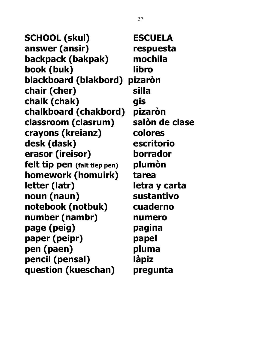**SCHOOL (skul) ESCUELA answer (ansir) respuesta backpack (bakpak) mochila book (buk) libro blackboard (blakbord) pizaròn chair (cher) silla chalk (chak) gis chalkboard (chakbord) pizaròn classroom (clasrum) salòn de clase crayons (kreianz) colores desk (dask) escritorio erasor (ireisor) borrador felt tip pen (falt tiep pen) plumòn homework (homuirk) tarea letter (latr) letra y carta noun (naun) sustantivo notebook (notbuk) cuaderno number (nambr) numero page (peig) pagina paper (peipr) papel pen (paen) pluma pencil (pensal) làpiz question (kueschan) pregunta**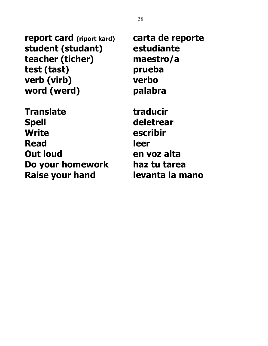**report card (riport kard) carta de reporte student (studant) estudiante teacher (ticher) maestro/a test (tast) prueba verb (virb) verbo word (werd) palabra**

**Translate traducir Spell deletrear Write escribir Read leer Out loud en voz alta Do your homework haz tu tarea Raise your hand levanta la mano**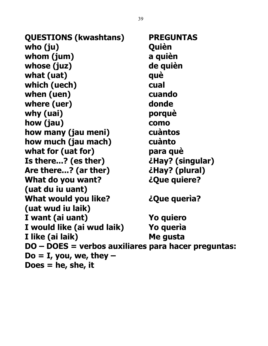**QUESTIONS (kwashtans) PREGUNTAS who (ju) Quièn whom (jum) a quièn whose (juz) de quièn what (uat) què which (uech) cual when (uen) cuando where (uer) donde why (uai) porquè how (jau) como how many (jau meni) cuàntos how much (jau mach) cuànto what for (uat for) para què Is there...? (es ther) ¿Hay? (singular) Are there...? (ar ther) ¿Hay? (plural) What do you want? ¿Que quiere? (uat du iu uant) What would you like? ¿Que querìa? (uat wud iu laik) I want (ai uant) Yo quiero I would like (ai wud laik) Yo querìa I like (ai laik) Me gusta DO – DOES = verbos auxiliares para hacer preguntas: Do = I, you, we, they – Does = he, she, it**